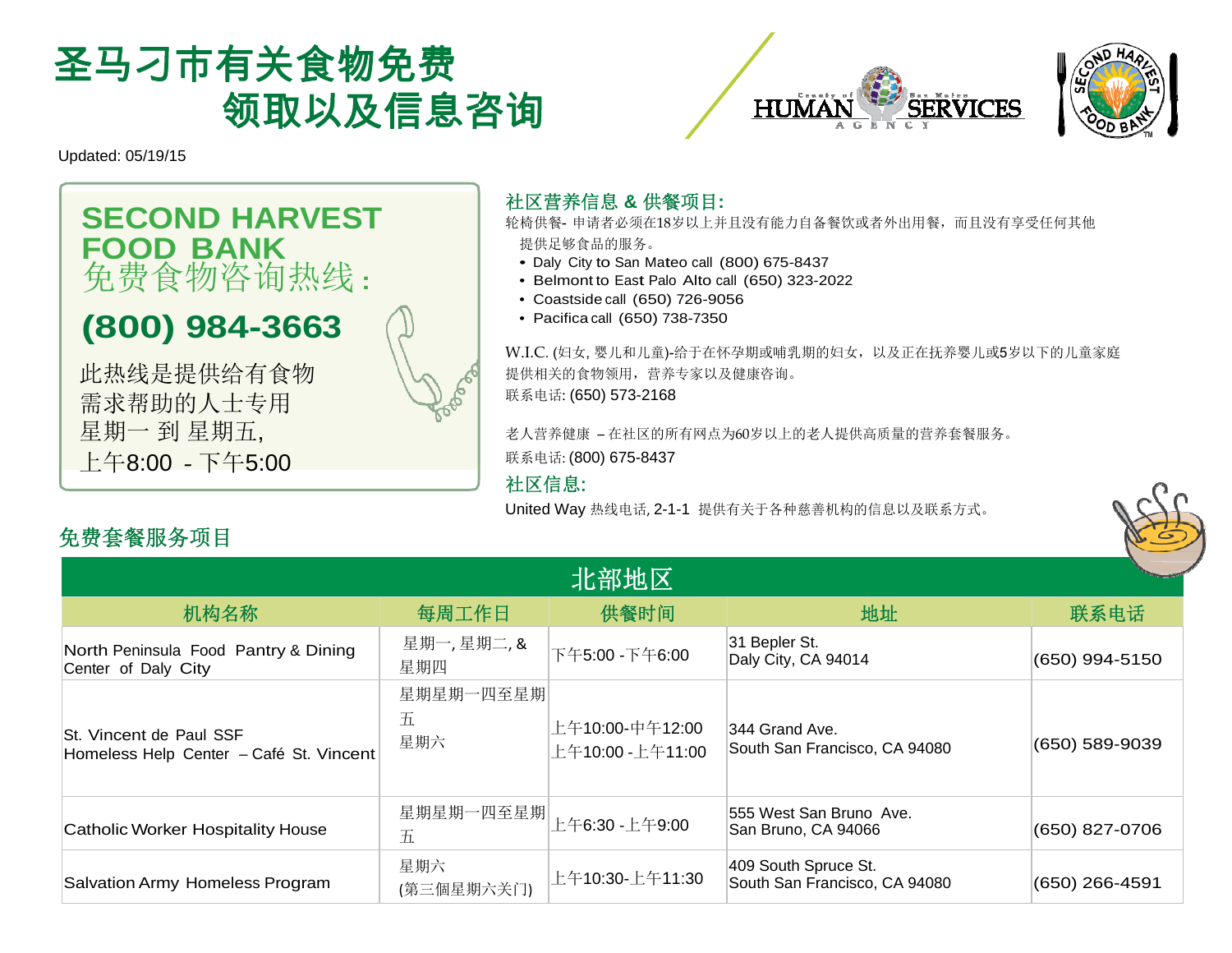





Updated: 05/19/15

## **SECOND HARVEST FOOD BANK**  免费食物咨询热线 **:**

# **(800) 984-3663**

此热线是提供给有食物 需求帮助的人士专用 星期一 到 星期五, 上午8:00 - 下午5:00



#### 社区营养信息 **&** 供餐项目**:**

轮椅供餐- 申请者必须在18岁以上并且没有能力自备餐饮或者外出用餐,而且没有享受任何其他 提供足够食品的服务。

- Daly City to San Mateo call (800) 675-8437
- Belmont to East Palo Alto call (650) 323-2022
- Coastside call (650) 726-9056
- Pacifica call (650) 738-7350

W.I.C. (妇女, 婴儿和儿童)-给于在怀孕期或哺乳期的妇女,以及正在抚养婴儿或5岁以下的儿童家庭 提供相关的食物领用,营养专家以及健康咨询。 联系电话: (650) 573-2168

老人营养健康 – 在社区的所有网点为60岁以上的老人提供高质量的营养套餐服务。联系电话: (800) 675-8437

#### 社区信息:

United Way 热线电话, 2-1-1 提供有关于各种慈善机构的信息以及联系方式。



### 免费套餐服务项目

| 北部地区                                                               |                       |                                     |                                                       |                |  |  |
|--------------------------------------------------------------------|-----------------------|-------------------------------------|-------------------------------------------------------|----------------|--|--|
| 机构名称                                                               | 每周工作日                 | 供餐时间                                | 地址                                                    | 联系电话           |  |  |
| North Peninsula Food Pantry & Dining<br>Center of Daly City        | 星期一,星期二,&<br>星期四      | 下午5:00 - 下午6:00                     | 31 Bepler St.<br>Daly City, CA 94014                  | (650) 994-5150 |  |  |
| St. Vincent de Paul SSF<br>Homeless Help Center - Café St. Vincent | 星期星期一四至星期<br>五<br>星期六 | 上午10:00-中午12:00<br>上午10:00 -上午11:00 | 344 Grand Ave.<br>South San Francisco, CA 94080       | (650) 589-9039 |  |  |
| Catholic Worker Hospitality House                                  | 星期星期一四至星期<br>五        | 上午6:30 -上午9:00                      | 555 West San Bruno Ave.<br>San Bruno, CA 94066        | (650) 827-0706 |  |  |
| Salvation Army Homeless Program                                    | 星期六<br>(第三個星期六关门)     | 上午10:30-上午11:30                     | 409 South Spruce St.<br>South San Francisco, CA 94080 | (650) 266-4591 |  |  |